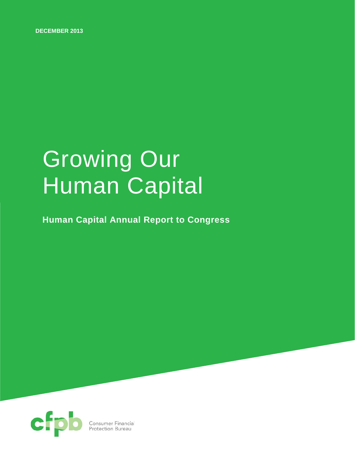**DECEMBER 2013**

# Growing Our Human Capital

**Human Capital Annual Report to Congress**

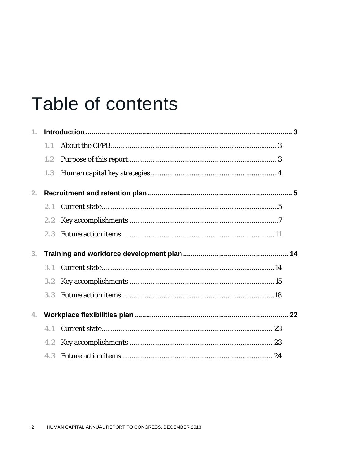## **Table of contents**

| 1.             |               |  |
|----------------|---------------|--|
|                | 1.1           |  |
|                | 1.2           |  |
|                | 1.3           |  |
| 2.             |               |  |
|                | 2.1           |  |
|                | 2.2           |  |
|                | 2.3           |  |
|                |               |  |
| 3 <sub>1</sub> |               |  |
|                | 3.1           |  |
|                | 3.2           |  |
|                | 3.3           |  |
| 4.             |               |  |
|                | 4.1           |  |
|                | $4.2^{\circ}$ |  |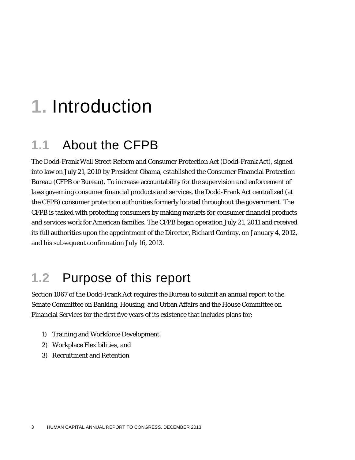## **1.** Introduction

### **1.1** About the CFPB

The Dodd-Frank Wall Street Reform and Consumer Protection Act (Dodd-Frank Act), signed into law on July 21, 2010 by President Obama, established the Consumer Financial Protection Bureau (CFPB or Bureau). To increase accountability for the supervision and enforcement of laws governing consumer financial products and services, the Dodd-Frank Act centralized (at the CFPB) consumer protection authorities formerly located throughout the government. The CFPB is tasked with protecting consumers by making markets for consumer financial products and services work for American families. The CFPB began operation July 21, 2011 and received its full authorities upon the appointment of the Director, Richard Cordray, on January 4, 2012, and his subsequent confirmation July 16, 2013.

### **1.2** Purpose of this report

Section 1067 of the Dodd-Frank Act requires the Bureau to submit an annual report to the Senate Committee on Banking, Housing, and Urban Affairs and the House Committee on Financial Services for the first five years of its existence that includes plans for:

- 1) Training and Workforce Development,
- 2) Workplace Flexibilities, and
- 3) Recruitment and Retention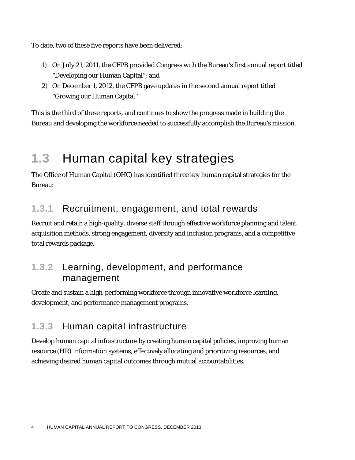To date, two of these five reports have been delivered:

- 1) On July 21, 2011, the CFPB provided Congress with the Bureau's first annual report titled "Developing our Human Capital"; and
- 2) On December 1, 2012, the CFPB gave updates in the second annual report titled "Growing our Human Capital."

This is the third of these reports, and continues to show the progress made in building the Bureau and developing the workforce needed to successfully accomplish the Bureau's mission.

## **1.3** Human capital key strategies

The Office of Human Capital (OHC) has identified three key human capital strategies for the Bureau:

#### **1.3.1** Recruitment, engagement, and total rewards

Recruit and retain a high-quality, diverse staff through effective workforce planning and talent acquisition methods, strong engagement, diversity and inclusion programs, and a competitive total rewards package.

#### **1.3.2** Learning, development, and performance management

Create and sustain a high-performing workforce through innovative workforce learning, development, and performance management programs.

#### **1.3.3** Human capital infrastructure

Develop human capital infrastructure by creating human capital policies, improving human resource (HR) information systems, effectively allocating and prioritizing resources, and achieving desired human capital outcomes through mutual accountabilities.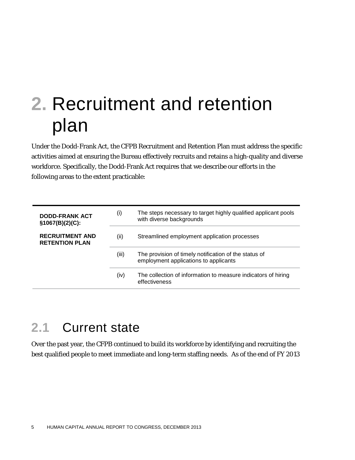## **2.** Recruitment and retention plan

Under the Dodd-Frank Act, the CFPB Recruitment and Retention Plan must address the specific activities aimed at ensuring the Bureau effectively recruits and retains a high-quality and diverse workforce. Specifically, the Dodd-Frank Act requires that we describe our efforts in the following areas to the extent practicable:

| <b>DODD-FRANK ACT</b><br>$§1067(B)(2)(C)$ :     | (i)   | The steps necessary to target highly qualified applicant pools<br>with diverse backgrounds     |
|-------------------------------------------------|-------|------------------------------------------------------------------------------------------------|
| <b>RECRUITMENT AND</b><br><b>RETENTION PLAN</b> | (ii)  | Streamlined employment application processes                                                   |
|                                                 | (iii) | The provision of timely notification of the status of<br>employment applications to applicants |
|                                                 | (iv)  | The collection of information to measure indicators of hiring<br>effectiveness                 |

## **2.1** Current state

Over the past year, the CFPB continued to build its workforce by identifying and recruiting the best qualified people to meet immediate and long-term staffing needs. As of the end of FY 2013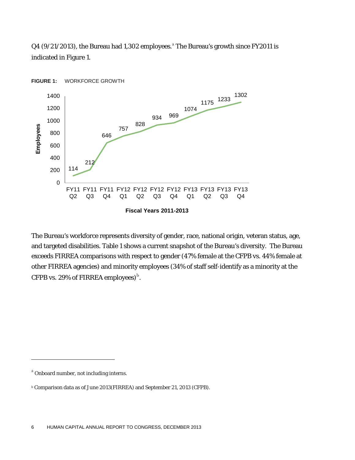$Q4$  (9/21/2013), the Bure[a](#page-5-0)u had 1,302 employees.<sup>a</sup> The Bureau's growth since FY2011 is indicated in Figure 1.



The Bureau's workforce represents diversity of gender, race, national origin, veteran status, age, and targeted disabilities. Table 1 shows a current snapshot of the Bureau's diversity. The Bureau exceeds FIRREA comparisons with respect to gender (47% female at the CFPB vs. 44% female at other FIRREA agencies) and minority employees (34% of staff self-identify as a minority at the CFPB vs. 29% of FIRREA employees) $^{\rm b}$  $^{\rm b}$  $^{\rm b}$ .

1

<span id="page-5-0"></span><sup>&</sup>lt;sup>a</sup> Onboard number, not including interns.

<span id="page-5-1"></span><sup>b</sup> Comparison data as of June 2013(FIRREA) and September 21, 2013 (CFPB).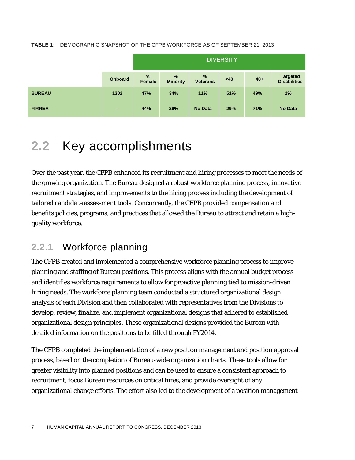**TABLE 1:** DEMOGRAPHIC SNAPSHOT OF THE CFPB WORKFORCE AS OF SEPTEMBER 21, 2013

|               |                | <b>DIVERSITY</b> |                                  |                                  |     |       |                                        |
|---------------|----------------|------------------|----------------------------------|----------------------------------|-----|-------|----------------------------------------|
|               | <b>Onboard</b> | %<br>Female      | $\frac{9}{6}$<br><b>Minority</b> | $\frac{9}{6}$<br><b>Veterans</b> | <40 | $40+$ | <b>Targeted</b><br><b>Disabilities</b> |
| <b>BUREAU</b> | 1302           | 47%              | 34%                              | 11%                              | 51% | 49%   | 2%                                     |
| <b>FIRREA</b> | $\sim$         | 44%              | 29%                              | <b>No Data</b>                   | 29% | 71%   | <b>No Data</b>                         |

## **2.2** Key accomplishments

Over the past year, the CFPB enhanced its recruitment and hiring processes to meet the needs of the growing organization. The Bureau designed a robust workforce planning process, innovative recruitment strategies, and improvements to the hiring process including the development of tailored candidate assessment tools. Concurrently, the CFPB provided compensation and benefits policies, programs, and practices that allowed the Bureau to attract and retain a highquality workforce.

#### **2.2.1** Workforce planning

The CFPB created and implemented a comprehensive workforce planning process to improve planning and staffing of Bureau positions. This process aligns with the annual budget process and identifies workforce requirements to allow for proactive planning tied to mission-driven hiring needs. The workforce planning team conducted a structured organizational design analysis of each Division and then collaborated with representatives from the Divisions to develop, review, finalize, and implement organizational designs that adhered to established organizational design principles. These organizational designs provided the Bureau with detailed information on the positions to be filled through FY2014.

The CFPB completed the implementation of a new position management and position approval process, based on the completion of Bureau-wide organization charts. These tools allow for greater visibility into planned positions and can be used to ensure a consistent approach to recruitment, focus Bureau resources on critical hires, and provide oversight of any organizational change efforts. The effort also led to the development of a position management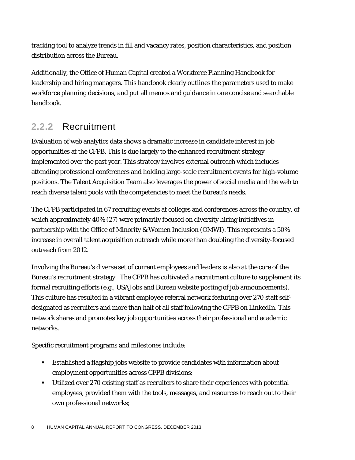tracking tool to analyze trends in fill and vacancy rates, position characteristics, and position distribution across the Bureau.

Additionally, the Office of Human Capital created a Workforce Planning Handbook for leadership and hiring managers. This handbook clearly outlines the parameters used to make workforce planning decisions, and put all memos and guidance in one concise and searchable handbook.

#### **2.2.2** Recruitment

Evaluation of web analytics data shows a dramatic increase in candidate interest in job opportunities at the CFPB. This is due largely to the enhanced recruitment strategy implemented over the past year. This strategy involves external outreach which includes attending professional conferences and holding large-scale recruitment events for high-volume positions. The Talent Acquisition Team also leverages the power of social media and the web to reach diverse talent pools with the competencies to meet the Bureau's needs.

The CFPB participated in 67 recruiting events at colleges and conferences across the country, of which approximately 40% (27) were primarily focused on diversity hiring initiatives in partnership with the Office of Minority & Women Inclusion (OMWI). This represents a 50% increase in overall talent acquisition outreach while more than doubling the diversity-focused outreach from 2012.

Involving the Bureau's diverse set of current employees and leaders is also at the core of the Bureau's recruitment strategy. The CFPB has cultivated a recruitment culture to supplement its formal recruiting efforts (e.g., USAJobs and Bureau website posting of job announcements). This culture has resulted in a vibrant employee referral network featuring over 270 staff selfdesignated as recruiters and more than half of all staff following the CFPB on LinkedIn. This network shares and promotes key job opportunities across their professional and academic networks.

Specific recruitment programs and milestones include:

- Established a flagship jobs website to provide candidates with information about employment opportunities across CFPB divisions;
- Utilized over 270 existing staff as recruiters to share their experiences with potential employees, provided them with the tools, messages, and resources to reach out to their own professional networks;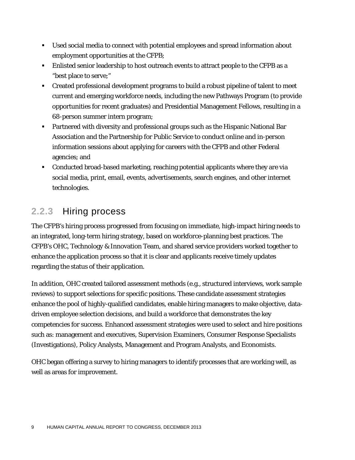- Used social media to connect with potential employees and spread information about employment opportunities at the CFPB;
- Enlisted senior leadership to host outreach events to attract people to the CFPB as a "best place to serve;"
- Created professional development programs to build a robust pipeline of talent to meet current and emerging workforce needs, including the new Pathways Program (to provide opportunities for recent graduates) and Presidential Management Fellows, resulting in a 68-person summer intern program;
- Partnered with diversity and professional groups such as the Hispanic National Bar Association and the Partnership for Public Service to conduct online and in-person information sessions about applying for careers with the CFPB and other Federal agencies; and
- Conducted broad-based marketing, reaching potential applicants where they are via social media, print, email, events, advertisements, search engines, and other internet technologies.

#### **2.2.3** Hiring process

The CFPB's hiring process progressed from focusing on immediate, high-impact hiring needs to an integrated, long-term hiring strategy, based on workforce-planning best practices. The CFPB's OHC, Technology & Innovation Team, and shared service providers worked together to enhance the application process so that it is clear and applicants receive timely updates regarding the status of their application.

In addition, OHC created tailored assessment methods (e.g., structured interviews, work sample reviews) to support selections for specific positions. These candidate assessment strategies enhance the pool of highly-qualified candidates, enable hiring managers to make objective, datadriven employee selection decisions, and build a workforce that demonstrates the key competencies for success. Enhanced assessment strategies were used to select and hire positions such as: management and executives, Supervision Examiners, Consumer Response Specialists (Investigations), Policy Analysts, Management and Program Analysts, and Economists.

OHC began offering a survey to hiring managers to identify processes that are working well, as well as areas for improvement.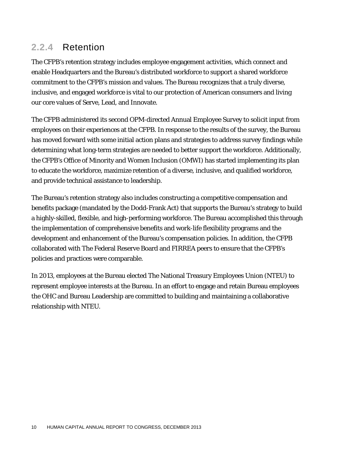#### **2.2.4** Retention

The CFPB's retention strategy includes employee engagement activities, which connect and enable Headquarters and the Bureau's distributed workforce to support a shared workforce commitment to the CFPB's mission and values. The Bureau recognizes that a truly diverse, inclusive, and engaged workforce is vital to our protection of American consumers and living our core values of Serve, Lead, and Innovate.

The CFPB administered its second OPM-directed Annual Employee Survey to solicit input from employees on their experiences at the CFPB. In response to the results of the survey, the Bureau has moved forward with some initial action plans and strategies to address survey findings while determining what long-term strategies are needed to better support the workforce. Additionally, the CFPB's Office of Minority and Women Inclusion (OMWI) has started implementing its plan to educate the workforce, maximize retention of a diverse, inclusive, and qualified workforce, and provide technical assistance to leadership.

The Bureau's retention strategy also includes constructing a competitive compensation and benefits package (mandated by the Dodd-Frank Act) that supports the Bureau's strategy to build a highly-skilled, flexible, and high-performing workforce. The Bureau accomplished this through the implementation of comprehensive benefits and work-life flexibility programs and the development and enhancement of the Bureau's compensation policies. In addition, the CFPB collaborated with The Federal Reserve Board and FIRREA peers to ensure that the CFPB's policies and practices were comparable.

In 2013, employees at the Bureau elected The National Treasury Employees Union (NTEU) to represent employee interests at the Bureau. In an effort to engage and retain Bureau employees the OHC and Bureau Leadership are committed to building and maintaining a collaborative relationship with NTEU.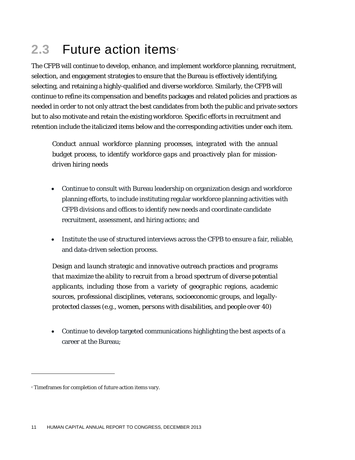## **2.3** Future a[c](#page-10-0)tion items<sup>c</sup>

The CFPB will continue to develop, enhance, and implement workforce planning, recruitment, selection, and engagement strategies to ensure that the Bureau is effectively identifying, selecting, and retaining a highly-qualified and diverse workforce. Similarly, the CFPB will continue to refine its compensation and benefits packages and related policies and practices as needed in order to not only attract the best candidates from both the public and private sectors but to also motivate and retain the existing workforce. Specific efforts in recruitment and retention include the italicized items below and the corresponding activities under each item.

*Conduct annual workforce planning processes, integrated with the annual budget process, to identify workforce gaps and proactively plan for missiondriven hiring needs*

- Continue to consult with Bureau leadership on organization design and workforce planning efforts, to include instituting regular workforce planning activities with CFPB divisions and offices to identify new needs and coordinate candidate recruitment, assessment, and hiring actions; and
- Institute the use of structured interviews across the CFPB to ensure a fair, reliable, and data-driven selection process.

*Design and launch strategic and innovative outreach practices and programs that maximize the ability to recruit from a broad spectrum of diverse potential applicants, including those from a variety of geographic regions, academic sources, professional disciplines, veterans, socioeconomic groups, and legallyprotected classes (e.g., women, persons with disabilities, and people over 40)*

• Continue to develop targeted communications highlighting the best aspects of a career at the Bureau;

1

<span id="page-10-0"></span><sup>c</sup> Timeframes for completion of future action items vary.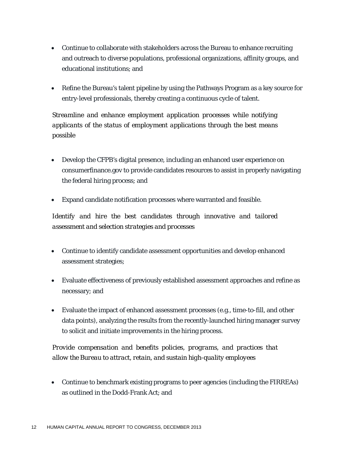- Continue to collaborate with stakeholders across the Bureau to enhance recruiting and outreach to diverse populations, professional organizations, affinity groups, and educational institutions; and
- Refine the Bureau's talent pipeline by using the Pathways Program as a key source for entry-level professionals, thereby creating a continuous cycle of talent.

*Streamline and enhance employment application processes while notifying applicants of the status of employment applications through the best means possible*

- Develop the CFPB's digital presence, including an enhanced user experience on consumerfinance.gov to provide candidates resources to assist in properly navigating the federal hiring process; and
- Expand candidate notification processes where warranted and feasible.

*Identify and hire the best candidates through innovative and tailored assessment and selection strategies and processes*

- Continue to identify candidate assessment opportunities and develop enhanced assessment strategies;
- Evaluate effectiveness of previously established assessment approaches and refine as necessary; and
- Evaluate the impact of enhanced assessment processes (e.g., time-to-fill, and other data points), analyzing the results from the recently-launched hiring manager survey to solicit and initiate improvements in the hiring process.

*Provide compensation and benefits policies, programs, and practices that allow the Bureau to attract, retain, and sustain high-quality employees*

• Continue to benchmark existing programs to peer agencies (including the FIRREAs) as outlined in the Dodd-Frank Act; and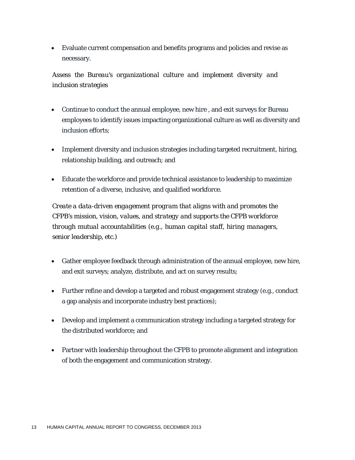• Evaluate current compensation and benefits programs and policies and revise as necessary.

*Assess the Bureau's organizational culture and implement diversity and inclusion strategies*

- Continue to conduct the annual employee, new hire , and exit surveys for Bureau employees to identify issues impacting organizational culture as well as diversity and inclusion efforts;
- Implement diversity and inclusion strategies including targeted recruitment, hiring, relationship building, and outreach; and
- Educate the workforce and provide technical assistance to leadership to maximize retention of a diverse, inclusive, and qualified workforce.

*Create a data-driven engagement program that aligns with and promotes the CFPB's mission, vision, values, and strategy and supports the CFPB workforce through mutual accountabilities (e.g., human capital staff, hiring managers, senior leadership, etc.)*

- Gather employee feedback through administration of the annual employee, new hire, and exit surveys; analyze, distribute, and act on survey results;
- Further refine and develop a targeted and robust engagement strategy (e.g., conduct a gap analysis and incorporate industry best practices);
- Develop and implement a communication strategy including a targeted strategy for the distributed workforce; and
- Partner with leadership throughout the CFPB to promote alignment and integration of both the engagement and communication strategy.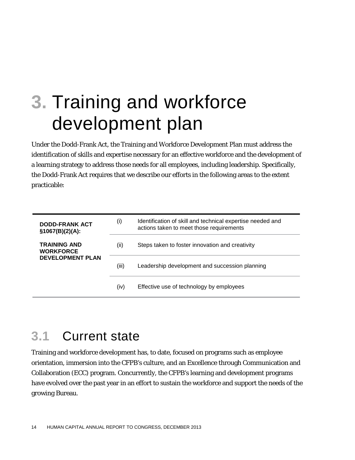## **3.** Training and workforce development plan

Under the Dodd-Frank Act, the Training and Workforce Development Plan must address the identification of skills and expertise necessary for an effective workforce and the development of a learning strategy to address those needs for all employees, including leadership. Specifically, the Dodd-Frank Act requires that we describe our efforts in the following areas to the extent practicable:

| <b>DODD-FRANK ACT</b><br>\$1067(B)(2)(A): | (i)   | Identification of skill and technical expertise needed and<br>actions taken to meet those requirements |
|-------------------------------------------|-------|--------------------------------------------------------------------------------------------------------|
| TRAINING AND<br><b>WORKFORCE</b>          | (ii)  | Steps taken to foster innovation and creativity                                                        |
| <b>DEVELOPMENT PLAN</b>                   | (iii) | Leadership development and succession planning                                                         |
|                                           | (iv)  | Effective use of technology by employees                                                               |

## **3.1** Current state

Training and workforce development has, to date, focused on programs such as employee orientation, immersion into the CFPB's culture, and an Excellence through Communication and Collaboration (ECC) program. Concurrently, the CFPB's learning and development programs have evolved over the past year in an effort to sustain the workforce and support the needs of the growing Bureau.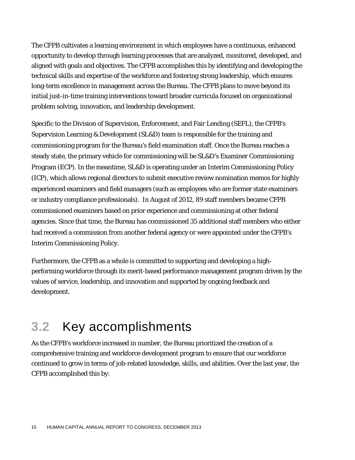The CFPB cultivates a learning environment in which employees have a continuous, enhanced opportunity to develop through learning processes that are analyzed, monitored, developed, and aligned with goals and objectives. The CFPB accomplishes this by identifying and developing the technical skills and expertise of the workforce and fostering strong leadership, which ensures long-term excellence in management across the Bureau. The CFPB plans to move beyond its initial just-in-time training interventions toward broader curricula focused on organizational problem solving, innovation, and leadership development.

Specific to the Division of Supervision, Enforcement, and Fair Lending (SEFL), the CFPB's Supervision Learning & Development (SL&D) team is responsible for the training and commissioning program for the Bureau's field examination staff. Once the Bureau reaches a steady state, the primary vehicle for commissioning will be SL&D's Examiner Commissioning Program (ECP). In the meantime, SL&D is operating under an Interim Commissioning Policy (ICP), which allows regional directors to submit executive review nomination memos for highly experienced examiners and field managers (such as employees who are former state examiners or industry compliance professionals). In August of 2012, 89 staff members became CFPB commissioned examiners based on prior experience and commissioning at other federal agencies. Since that time, the Bureau has commissioned 35 additional staff members who either had received a commission from another federal agency or were appointed under the CFPB's Interim Commissioning Policy.

Furthermore, the CFPB as a whole is committed to supporting and developing a highperforming workforce through its merit-based performance management program driven by the values of service, leadership, and innovation and supported by ongoing feedback and development.

### **3.2** Key accomplishments

As the CFPB's workforce increased in number, the Bureau prioritized the creation of a comprehensive training and workforce development program to ensure that our workforce continued to grow in terms of job-related knowledge, skills, and abilities. Over the last year, the CFPB accomplished this by: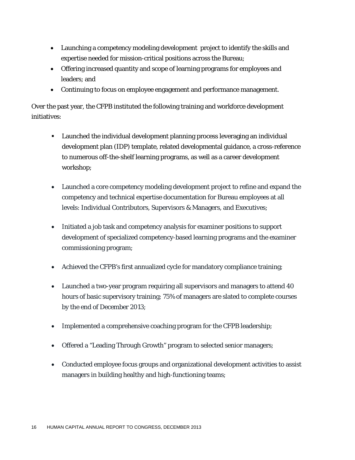- Launching a competency modeling development project to identify the skills and expertise needed for mission-critical positions across the Bureau;
- Offering increased quantity and scope of learning programs for employees and leaders; and
- Continuing to focus on employee engagement and performance management.

Over the past year, the CFPB instituted the following training and workforce development initiatives:

- Launched the individual development planning process leveraging an individual development plan (IDP) template, related developmental guidance, a cross-reference to numerous off-the-shelf learning programs, as well as a career development workshop;
- Launched a core competency modeling development project to refine and expand the competency and technical expertise documentation for Bureau employees at all levels: Individual Contributors, Supervisors & Managers, and Executives;
- Initiated a job task and competency analysis for examiner positions to support development of specialized competency-based learning programs and the examiner commissioning program;
- Achieved the CFPB's first annualized cycle for mandatory compliance training;
- Launched a two-year program requiring all supervisors and managers to attend 40 hours of basic supervisory training; 75% of managers are slated to complete courses by the end of December 2013;
- Implemented a comprehensive coaching program for the CFPB leadership;
- Offered a "Leading Through Growth" program to selected senior managers;
- Conducted employee focus groups and organizational development activities to assist managers in building healthy and high-functioning teams;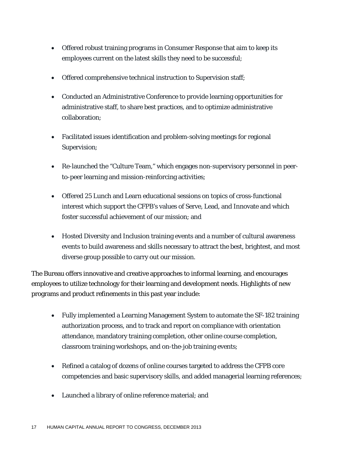- Offered robust training programs in Consumer Response that aim to keep its employees current on the latest skills they need to be successful;
- Offered comprehensive technical instruction to Supervision staff;
- Conducted an Administrative Conference to provide learning opportunities for administrative staff, to share best practices, and to optimize administrative collaboration;
- Facilitated issues identification and problem-solving meetings for regional Supervision;
- Re-launched the "Culture Team," which engages non-supervisory personnel in peerto-peer learning and mission-reinforcing activities;
- Offered 25 Lunch and Learn educational sessions on topics of cross-functional interest which support the CFPB's values of Serve, Lead, and Innovate and which foster successful achievement of our mission; and
- Hosted Diversity and Inclusion training events and a number of cultural awareness events to build awareness and skills necessary to attract the best, brightest, and most diverse group possible to carry out our mission.

The Bureau offers innovative and creative approaches to informal learning, and encourages employees to utilize technology for their learning and development needs. Highlights of new programs and product refinements in this past year include:

- Fully implemented a Learning Management System to automate the SF-182 training authorization process, and to track and report on compliance with orientation attendance, mandatory training completion, other online course completion, classroom training workshops, and on-the-job training events;
- Refined a catalog of dozens of online courses targeted to address the CFPB core competencies and basic supervisory skills, and added managerial learning references;
- Launched a library of online reference material; and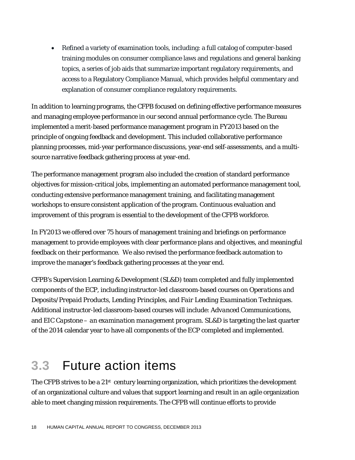• Refined a variety of examination tools, including: a full catalog of computer-based training modules on consumer compliance laws and regulations and general banking topics, a series of job aids that summarize important regulatory requirements, and access to a Regulatory Compliance Manual, which provides helpful commentary and explanation of consumer compliance regulatory requirements.

In addition to learning programs, the CFPB focused on defining effective performance measures and managing employee performance in our second annual performance cycle. The Bureau implemented a merit-based performance management program in FY2013 based on the principle of ongoing feedback and development. This included collaborative performance planning processes, mid-year performance discussions, year-end self-assessments, and a multisource narrative feedback gathering process at year-end.

The performance management program also included the creation of standard performance objectives for mission-critical jobs, implementing an automated performance management tool, conducting extensive performance management training, and facilitating management workshops to ensure consistent application of the program. Continuous evaluation and improvement of this program is essential to the development of the CFPB workforce.

In FY2013 we offered over 75 hours of management training and briefings on performance management to provide employees with clear performance plans and objectives, and meaningful feedback on their performance. We also revised the performance feedback automation to improve the manager's feedback gathering processes at the year end.

CFPB's Supervision Learning & Development (SL&D) team completed and fully implemented components of the ECP, including instructor-led classroom-based courses on *Operations and Deposits/Prepaid Products*, *Lending Principles,* and *Fair Lending Examination Techniques*. Additional instructor-led classroom-based courses will include: *Advanced Communications*, and *EIC Capstone – an examination management program.* SL&D is targeting the last quarter of the 2014 calendar year to have all components of the ECP completed and implemented.

## **3.3** Future action items

The CFPB strives to be a  $21<sup>st</sup>$  century learning organization, which prioritizes the development of an organizational culture and values that support learning and result in an agile organization able to meet changing mission requirements. The CFPB will continue efforts to provide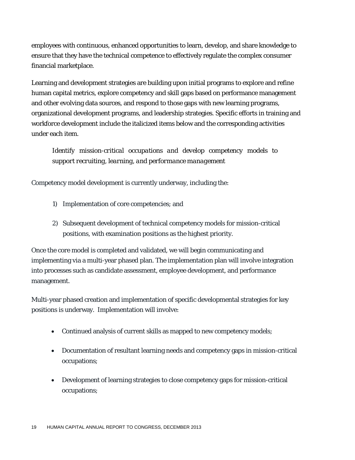employees with continuous, enhanced opportunities to learn, develop, and share knowledge to ensure that they have the technical competence to effectively regulate the complex consumer financial marketplace.

Learning and development strategies are building upon initial programs to explore and refine human capital metrics, explore competency and skill gaps based on performance management and other evolving data sources, and respond to those gaps with new learning programs, organizational development programs, and leadership strategies. Specific efforts in training and workforce development include the italicized items below and the corresponding activities under each item.

*Identify mission-critical occupations and develop competency models to support recruiting, learning, and performance management*

Competency model development is currently underway, including the:

- 1) Implementation of core competencies; and
- 2) Subsequent development of technical competency models for mission-critical positions, with examination positions as the highest priority.

Once the core model is completed and validated, we will begin communicating and implementing via a multi-year phased plan. The implementation plan will involve integration into processes such as candidate assessment, employee development, and performance management.

Multi-year phased creation and implementation of specific developmental strategies for key positions is underway. Implementation will involve:

- Continued analysis of current skills as mapped to new competency models;
- Documentation of resultant learning needs and competency gaps in mission-critical occupations;
- Development of learning strategies to close competency gaps for mission-critical occupations;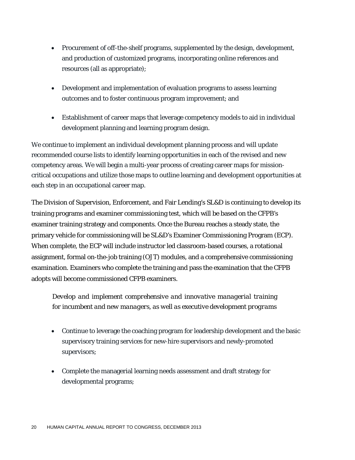- Procurement of off-the-shelf programs, supplemented by the design, development, and production of customized programs, incorporating online references and resources (all as appropriate);
- Development and implementation of evaluation programs to assess learning outcomes and to foster continuous program improvement; and
- Establishment of career maps that leverage competency models to aid in individual development planning and learning program design.

We continue to implement an individual development planning process and will update recommended course lists to identify learning opportunities in each of the revised and new competency areas. We will begin a multi-year process of creating career maps for missioncritical occupations and utilize those maps to outline learning and development opportunities at each step in an occupational career map.

The Division of Supervision, Enforcement, and Fair Lending's SL&D is continuing to develop its training programs and examiner commissioning test, which will be based on the CFPB's examiner training strategy and components. Once the Bureau reaches a steady state, the primary vehicle for commissioning will be SL&D's Examiner Commissioning Program (ECP). When complete, the ECP will include instructor led classroom-based courses, a rotational assignment, formal on-the-job training (OJT) modules, and a comprehensive commissioning examination. Examiners who complete the training and pass the examination that the CFPB adopts will become commissioned CFPB examiners.

*Develop and implement comprehensive and innovative managerial training for incumbent and new managers, as well as executive development programs*

- Continue to leverage the coaching program for leadership development and the basic supervisory training services for new-hire supervisors and newly-promoted supervisors;
- Complete the managerial learning needs assessment and draft strategy for developmental programs;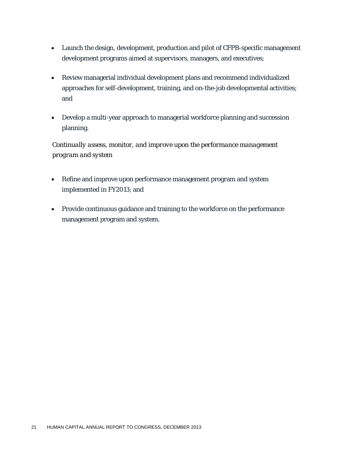- Launch the design, development, production and pilot of CFPB-specific management development programs aimed at supervisors, managers, and executives;
- Review managerial individual development plans and recommend individualized approaches for self-development, training, and on-the-job developmental activities; and
- Develop a multi-year approach to managerial workforce planning and succession planning.

*Continually assess, monitor, and improve upon the performance management program and system*

- Refine and improve upon performance management program and system implemented in FY2013; and
- Provide continuous guidance and training to the workforce on the performance management program and system.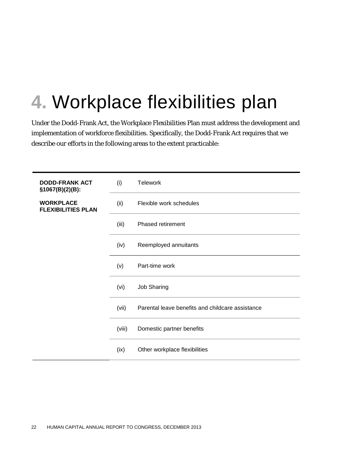## **4.** Workplace flexibilities plan

Under the Dodd-Frank Act, the Workplace Flexibilities Plan must address the development and implementation of workforce flexibilities. Specifically, the Dodd-Frank Act requires that we describe our efforts in the following areas to the extent practicable:

| <b>DODD-FRANK ACT</b><br>\$1067(B)(2)(B):     | (i)    | <b>Telework</b>                                  |
|-----------------------------------------------|--------|--------------------------------------------------|
| <b>WORKPLACE</b><br><b>FLEXIBILITIES PLAN</b> | (ii)   | Flexible work schedules                          |
|                                               | (iii)  | Phased retirement                                |
|                                               | (iv)   | Reemployed annuitants                            |
|                                               | (v)    | Part-time work                                   |
|                                               | (vi)   | <b>Job Sharing</b>                               |
|                                               | (vii)  | Parental leave benefits and childcare assistance |
|                                               | (viii) | Domestic partner benefits                        |
|                                               | (ix)   | Other workplace flexibilities                    |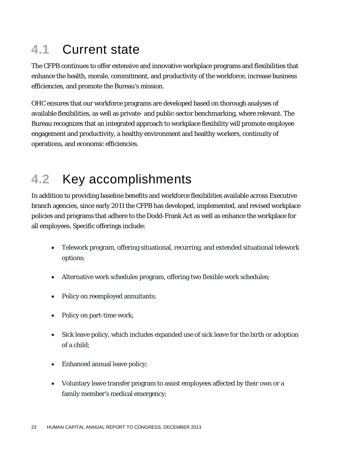## **4.1** Current state

The CFPB continues to offer extensive and innovative workplace programs and flexibilities that enhance the health, morale, commitment, and productivity of the workforce, increase business efficiencies, and promote the Bureau's mission.

OHC ensures that our workforce programs are developed based on thorough analyses of available flexibilities, as well as private- and public-sector benchmarking, where relevant. The Bureau recognizes that an integrated approach to workplace flexibility will promote employee engagement and productivity, a healthy environment and healthy workers, continuity of operations, and economic efficiencies.

## **4.2** Key accomplishments

In addition to providing baseline benefits and workforce flexibilities available across Executive branch agencies, since early 2011 the CFPB has developed, implemented, and revised workplace policies and programs that adhere to the Dodd-Frank Act as well as enhance the workplace for all employees. Specific offerings include:

- Telework program, offering situational, recurring, and extended situational telework options;
- Alternative work schedules program, offering two flexible work schedules;
- Policy on reemployed annuitants;
- Policy on part-time work;
- Sick leave policy, which includes expanded use of sick leave for the birth or adoption of a child;
- Enhanced annual leave policy;
- Voluntary leave transfer program to assist employees affected by their own or a family member's medical emergency;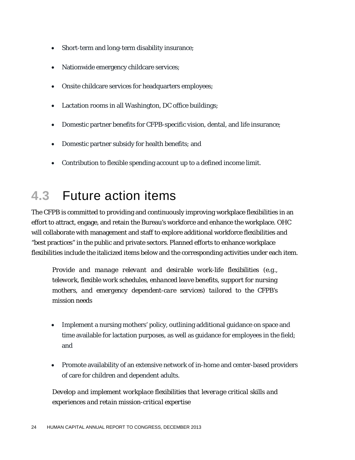- Short-term and long-term disability insurance;
- Nationwide emergency childcare services;
- Onsite childcare services for headquarters employees;
- Lactation rooms in all Washington, DC office buildings;
- Domestic partner benefits for CFPB-specific vision, dental, and life insurance;
- Domestic partner subsidy for health benefits; and
- Contribution to flexible spending account up to a defined income limit.

### **4.3** Future action items

The CFPB is committed to providing and continuously improving workplace flexibilities in an effort to attract, engage, and retain the Bureau's workforce and enhance the workplace. OHC will collaborate with management and staff to explore additional workforce flexibilities and "best practices" in the public and private sectors. Planned efforts to enhance workplace flexibilities include the italicized items below and the corresponding activities under each item.

*Provide and manage relevant and desirable work-life flexibilities (e.g., telework, flexible work schedules, enhanced leave benefits, support for nursing mothers, and emergency dependent-care services) tailored to the CFPB's mission needs*

- Implement a nursing mothers' policy, outlining additional guidance on space and time available for lactation purposes, as well as guidance for employees in the field; and
- Promote availability of an extensive network of in-home and center-based providers of care for children and dependent adults.

*Develop and implement workplace flexibilities that leverage critical skills and experiences and retain mission-critical expertise*